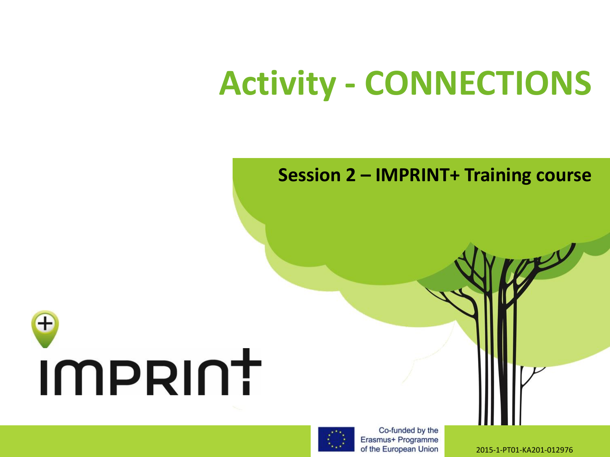## **Activity - CONNECTIONS**

#### **Session 2 – IMPRINT+ Training course**





Co-funded by the Erasmus+ Programme of the European Union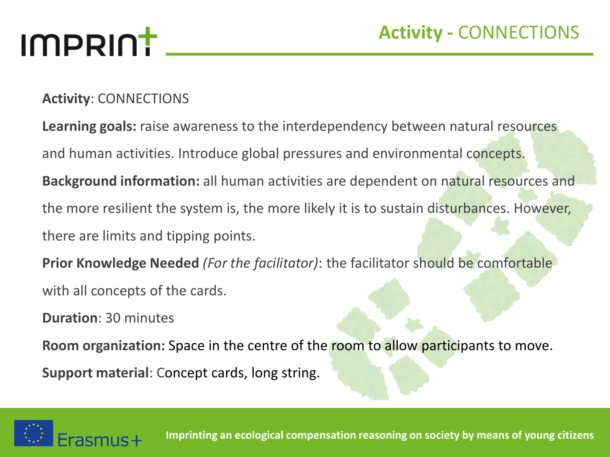## IMPRINT

#### **Activity**: CONNECTIONS

**Learning goals:** raise awareness to the interdependency between natural resources and human activities. Introduce global pressures and environmental concepts. **Background information:** all human activities are dependent on natural resources and the more resilient the system is, the more likely it is to sustain disturbances. However, there are limits and tipping points.

**Prior Knowledge Needed** *(For the facilitator)*: the facilitator should be comfortable with all concepts of the cards.

**Duration**: 30 minutes

**Room organization:** Space in the centre of the room to allow participants to move.

**Support material**: Concept cards, long string.